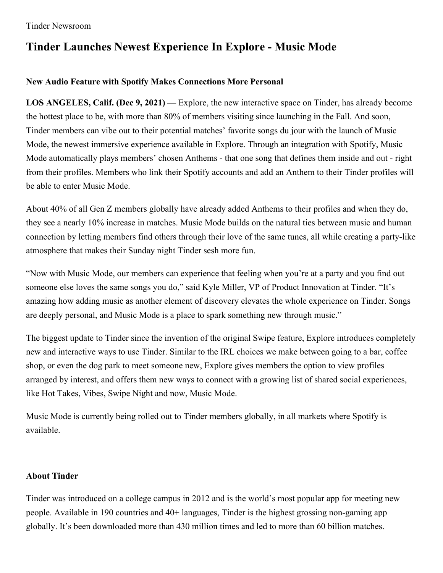## **Tinder Launches Newest Experience In Explore - Music Mode**

## **New Audio Feature with Spotify Makes Connections More Personal**

**LOS ANGELES, Calif. (Dec 9, 2021)** — Explore, the new interactive space on Tinder, has already become the hottest place to be, with more than 80% of members visiting since launching in the Fall. And soon, Tinder members can vibe out to their potential matches' favorite songs du jour with the launch of Music Mode, the newest immersive experience available in Explore. Through an integration with Spotify, Music Mode automatically plays members' chosen Anthems - that one song that defines them inside and out - right from their profiles. Members who link their Spotify accounts and add an Anthem to their Tinder profiles will be able to enter Music Mode.

About 40% of all Gen Z members globally have already added Anthems to their profiles and when they do, they see a nearly 10% increase in matches. Music Mode builds on the natural ties between music and human connection by letting members find others through their love of the same tunes, all while creating a party-like atmosphere that makes their Sunday night Tinder sesh more fun.

"Now with Music Mode, our members can experience that feeling when you're at a party and you find out someone else loves the same songs you do," said Kyle Miller, VP of Product Innovation at Tinder. "It's amazing how adding music as another element of discovery elevates the whole experience on Tinder. Songs are deeply personal, and Music Mode is a place to spark something new through music."

The biggest update to Tinder since the invention of the original Swipe feature, Explore introduces completely new and interactive ways to use Tinder. Similar to the IRL choices we make between going to a bar, coffee shop, or even the dog park to meet someone new, Explore gives members the option to view profiles arranged by interest, and offers them new ways to connect with a growing list of shared social experiences, like Hot Takes, Vibes, Swipe Night and now, Music Mode.

Music Mode is currently being rolled out to Tinder members globally, in all markets where Spotify is available.

## **About Tinder**

Tinder was introduced on a college campus in 2012 and is the world's most popular app for meeting new people. Available in 190 countries and 40+ languages, Tinder is the highest grossing non-gaming app globally. It's been downloaded more than 430 million times and led to more than 60 billion matches.